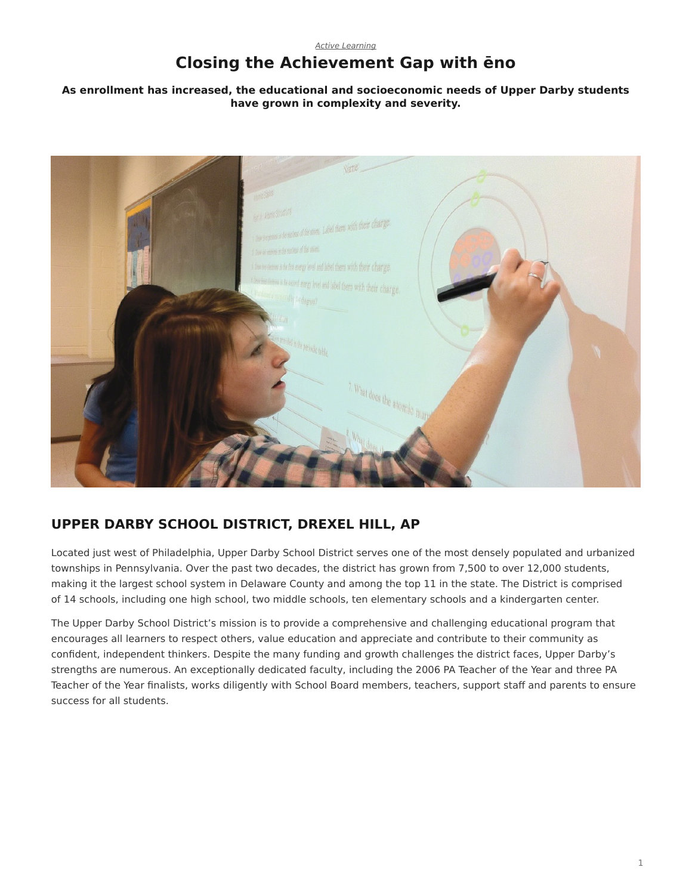# **Closing the Achievement Gap with ēno**

#### <span id="page-0-0"></span>**As enrollment has increased, the educational and socioeconomic needs of Upper Darby students have grown in complexity and severity.**



## **UPPER DARBY SCHOOL DISTRICT, DREXEL HILL, AP**

Located just west of Philadelphia, Upper Darby School District serves one of the most densely populated and urbanized townships in Pennsylvania. Over the past two decades, the district has grown from 7,500 to over 12,000 students, making it the largest school system in Delaware County and among the top 11 in the state. The District is comprised of 14 schools, including one high school, two middle schools, ten elementary schools and a kindergarten center.

The Upper Darby School District's mission is to provide a comprehensive and challenging educational program that encourages all learners to respect others, value education and appreciate and contribute to their community as confident, independent thinkers. Despite the many funding and growth challenges the district faces, Upper Darby's strengths are numerous. An exceptionally dedicated faculty, including the 2006 PA Teacher of the Year and three PA Teacher of the Year finalists, works diligently with School Board members, teachers, support staff and parents to ensure success for all students.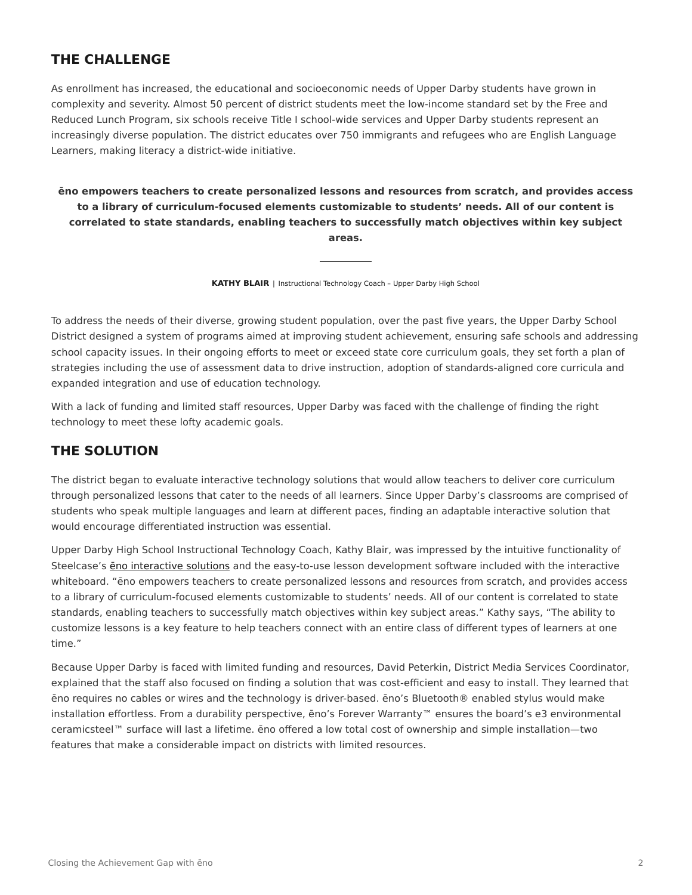### **THE CHALLENGE**

As enrollment has increased, the educational and socioeconomic needs of Upper Darby students have grown in complexity and severity. Almost 50 percent of district students meet the low-income standard set by the Free and Reduced Lunch Program, six schools receive Title I school-wide services and Upper Darby students represent an increasingly diverse population. The district educates over 750 immigrants and refugees who are English Language Learners, making literacy a district-wide initiative.

**ēno empowers teachers to create personalized lessons and resources from scratch, and provides access to a library of curriculum-focused elements customizable to students' needs. All of our content is correlated to state standards, enabling teachers to successfully match objectives within key subject areas.**

**KATHY BLAIR** | Instructional Technology Coach – Upper Darby High School

To address the needs of their diverse, growing student population, over the past five years, the Upper Darby School District designed a system of programs aimed at improving student achievement, ensuring safe schools and addressing school capacity issues. In their ongoing efforts to meet or exceed state core curriculum goals, they set forth a plan of strategies including the use of assessment data to drive instruction, adoption of standards-aligned core curricula and expanded integration and use of education technology.

With a lack of funding and limited staff resources, Upper Darby was faced with the challenge of finding the right technology to meet these lofty academic goals.

### **THE SOLUTION**

The district began to evaluate interactive technology solutions that would allow teachers to deliver core curriculum through personalized lessons that cater to the needs of all learners. Since Upper Darby's classrooms are comprised of students who speak multiple languages and learn at different paces, finding an adaptable interactive solution that would encourage differentiated instruction was essential.

Upper Darby High School Instructional Technology Coach, Kathy Blair, was impressed by the intuitive functionality of Steelcase's [ēno interactive solutions](https://www.steelcase.com/products/whiteboards/) and the easy-to-use lesson development software included with the interactive whiteboard. "ēno empowers teachers to create personalized lessons and resources from scratch, and provides access to a library of curriculum-focused elements customizable to students' needs. All of our content is correlated to state standards, enabling teachers to successfully match objectives within key subject areas." Kathy says, "The ability to customize lessons is a key feature to help teachers connect with an entire class of different types of learners at one time."

Because Upper Darby is faced with limited funding and resources, David Peterkin, District Media Services Coordinator, explained that the staff also focused on finding a solution that was cost-efficient and easy to install. They learned that ēno requires no cables or wires and the technology is driver-based. ēno's Bluetooth® enabled stylus would make installation effortless. From a durability perspective, ēno's Forever Warranty™ ensures the board's e3 environmental ceramicsteel™ surface will last a lifetime. ēno offered a low total cost of ownership and simple installation—two features that make a considerable impact on districts with limited resources.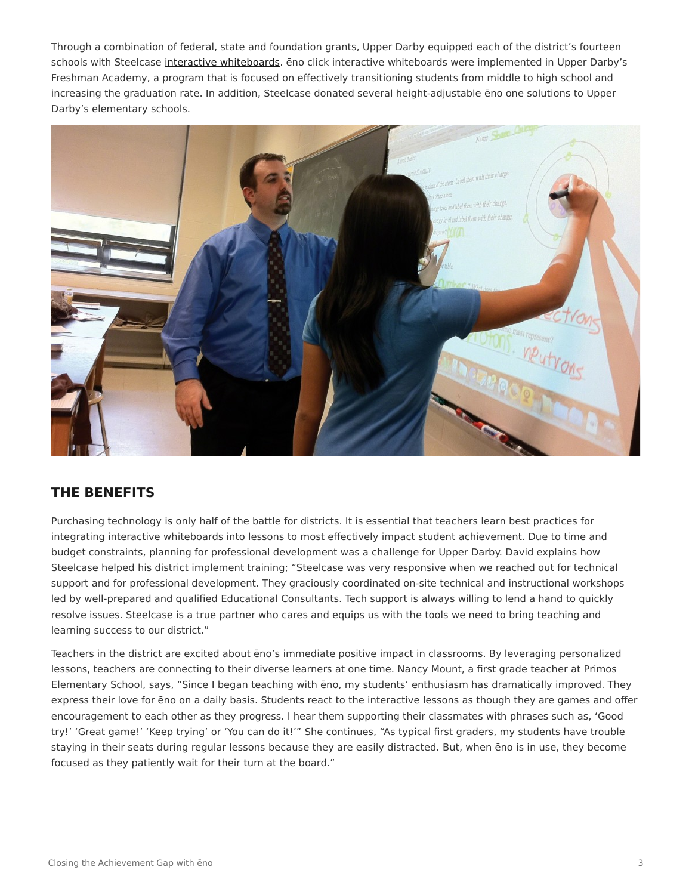Through a combination of federal, state and foundation grants, Upper Darby equipped each of the district's fourteen schools with Steelcase [interactive whiteboards.](https://www.steelcase.com/products/whiteboards/) eno click interactive whiteboards were implemented in Upper Darby's Freshman Academy, a program that is focused on effectively transitioning students from middle to high school and increasing the graduation rate. In addition, Steelcase donated several height-adjustable ēno one solutions to Upper Darby's elementary schools.



#### **THE BENEFITS**

Purchasing technology is only half of the battle for districts. It is essential that teachers learn best practices for integrating interactive whiteboards into lessons to most effectively impact student achievement. Due to time and budget constraints, planning for professional development was a challenge for Upper Darby. David explains how Steelcase helped his district implement training; "Steelcase was very responsive when we reached out for technical support and for professional development. They graciously coordinated on-site technical and instructional workshops led by well-prepared and qualified Educational Consultants. Tech support is always willing to lend a hand to quickly resolve issues. Steelcase is a true partner who cares and equips us with the tools we need to bring teaching and learning success to our district."

Teachers in the district are excited about ēno's immediate positive impact in classrooms. By leveraging personalized lessons, teachers are connecting to their diverse learners at one time. Nancy Mount, a first grade teacher at Primos Elementary School, says, "Since I began teaching with ēno, my students' enthusiasm has dramatically improved. They express their love for ēno on a daily basis. Students react to the interactive lessons as though they are games and offer encouragement to each other as they progress. I hear them supporting their classmates with phrases such as, 'Good try!' 'Great game!' 'Keep trying' or 'You can do it!'" She continues, "As typical first graders, my students have trouble staying in their seats during regular lessons because they are easily distracted. But, when ēno is in use, they become focused as they patiently wait for their turn at the board."